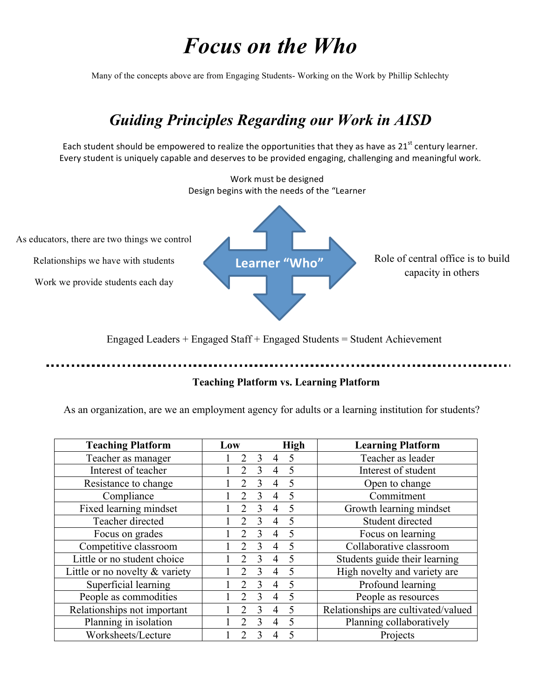## *Focus on the Who*

Many of the concepts above are from Engaging Students- Working on the Work by Phillip Schlechty

## *Guiding Principles Regarding our Work in AISD*

Each student should be empowered to realize the opportunities that they as have as  $21^{st}$  century learner. Every student is uniquely capable and deserves to be provided engaging, challenging and meaningful work.



Engaged Leaders + Engaged Staff + Engaged Students = Student Achievement

## **Teaching Platform vs. Learning Platform**

As an organization, are we an employment agency for adults or a learning institution for students?

| <b>Teaching Platform</b>          | Low                         |               |                | <b>High</b> | <b>Learning Platform</b>            |
|-----------------------------------|-----------------------------|---------------|----------------|-------------|-------------------------------------|
| Teacher as manager                | 2                           | 3             | 4              | 5           | Teacher as leader                   |
| Interest of teacher               | $\overline{2}$              | 3             | $\overline{4}$ | 5           | Interest of student                 |
| Resistance to change              | $\mathfrak{D}$              | 3             | $\overline{4}$ | 5           | Open to change                      |
| Compliance                        | $\mathcal{D}_{\mathcal{A}}$ | 3             | 4              | 5           | Commitment                          |
| Fixed learning mindset            | $\mathfrak{D}$              | 3             | $\overline{4}$ | 5           | Growth learning mindset             |
| Teacher directed                  | $\mathcal{D}$               | 3             | $\overline{4}$ | 5           | Student directed                    |
| Focus on grades                   | $\mathfrak{D}$              | 3             | $\overline{4}$ | 5           | Focus on learning                   |
| Competitive classroom             | $\mathcal{D}_{\mathcal{A}}$ | 3             | $\overline{4}$ | 5           | Collaborative classroom             |
| Little or no student choice       | $\mathfrak{D}$              | 3             | $\overline{4}$ | 5           | Students guide their learning       |
| Little or no novelty $\&$ variety | $\mathcal{D}$               | 3             | $\overline{4}$ | 5           | High novelty and variety are        |
| Superficial learning              | $\overline{2}$              | 3             | $\overline{4}$ | 5           | Profound learning                   |
| People as commodities             | $\mathcal{D}$               | 3             | 4              | 5           | People as resources                 |
| Relationships not important       |                             | 3             |                | 5           | Relationships are cultivated/valued |
| Planning in isolation             | $\mathcal{D}$               | $\mathcal{E}$ | $\overline{4}$ | 5           | Planning collaboratively            |
| Worksheets/Lecture                |                             |               |                | 5           | Projects                            |